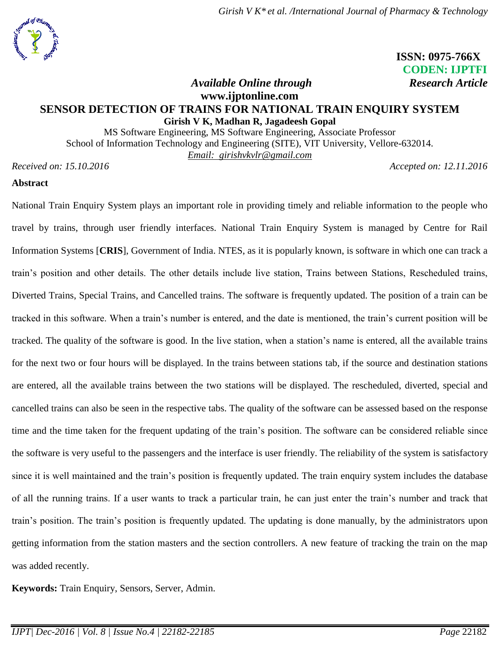

# **ISSN: 0975-766X CODEN: IJPTFI** *Available Online through Research Article*

# **www.ijptonline.com SENSOR DETECTION OF TRAINS FOR NATIONAL TRAIN ENQUIRY SYSTEM Girish V K, Madhan R, Jagadeesh Gopal**

MS Software Engineering, MS Software Engineering, Associate Professor School of Information Technology and Engineering (SITE), VIT University, Vellore-632014. *Email: girishvkvlr@gmail.com*

*Received on: 15.10.2016 Accepted on: 12.11.2016*

## **Abstract**

National Train Enquiry System plays an important role in providing timely and reliable information to the people who travel by trains, through user friendly interfaces. National Train Enquiry System is managed by Centre for Rail Information Systems [**CRIS**], Government of India. NTES, as it is popularly known, is software in which one can track a train's position and other details. The other details include live station, Trains between Stations, Rescheduled trains, Diverted Trains, Special Trains, and Cancelled trains. The software is frequently updated. The position of a train can be tracked in this software. When a train's number is entered, and the date is mentioned, the train's current position will be tracked. The quality of the software is good. In the live station, when a station's name is entered, all the available trains for the next two or four hours will be displayed. In the trains between stations tab, if the source and destination stations are entered, all the available trains between the two stations will be displayed. The rescheduled, diverted, special and cancelled trains can also be seen in the respective tabs. The quality of the software can be assessed based on the response time and the time taken for the frequent updating of the train's position. The software can be considered reliable since the software is very useful to the passengers and the interface is user friendly. The reliability of the system is satisfactory since it is well maintained and the train's position is frequently updated. The train enquiry system includes the database of all the running trains. If a user wants to track a particular train, he can just enter the train's number and track that train's position. The train's position is frequently updated. The updating is done manually, by the administrators upon getting information from the station masters and the section controllers. A new feature of tracking the train on the map was added recently.

**Keywords:** Train Enquiry, Sensors, Server, Admin.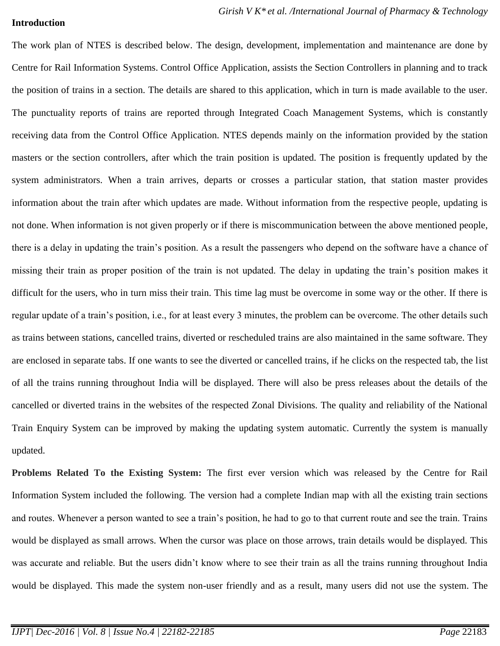### **Introduction**

The work plan of NTES is described below. The design, development, implementation and maintenance are done by Centre for Rail Information Systems. Control Office Application, assists the Section Controllers in planning and to track the position of trains in a section. The details are shared to this application, which in turn is made available to the user. The punctuality reports of trains are reported through Integrated Coach Management Systems, which is constantly receiving data from the Control Office Application. NTES depends mainly on the information provided by the station masters or the section controllers, after which the train position is updated. The position is frequently updated by the system administrators. When a train arrives, departs or crosses a particular station, that station master provides information about the train after which updates are made. Without information from the respective people, updating is not done. When information is not given properly or if there is miscommunication between the above mentioned people, there is a delay in updating the train's position. As a result the passengers who depend on the software have a chance of missing their train as proper position of the train is not updated. The delay in updating the train's position makes it difficult for the users, who in turn miss their train. This time lag must be overcome in some way or the other. If there is regular update of a train's position, i.e., for at least every 3 minutes, the problem can be overcome. The other details such as trains between stations, cancelled trains, diverted or rescheduled trains are also maintained in the same software. They are enclosed in separate tabs. If one wants to see the diverted or cancelled trains, if he clicks on the respected tab, the list of all the trains running throughout India will be displayed. There will also be press releases about the details of the cancelled or diverted trains in the websites of the respected Zonal Divisions. The quality and reliability of the National Train Enquiry System can be improved by making the updating system automatic. Currently the system is manually updated.

**Problems Related To the Existing System:** The first ever version which was released by the Centre for Rail Information System included the following. The version had a complete Indian map with all the existing train sections and routes. Whenever a person wanted to see a train's position, he had to go to that current route and see the train. Trains would be displayed as small arrows. When the cursor was place on those arrows, train details would be displayed. This was accurate and reliable. But the users didn't know where to see their train as all the trains running throughout India would be displayed. This made the system non-user friendly and as a result, many users did not use the system. The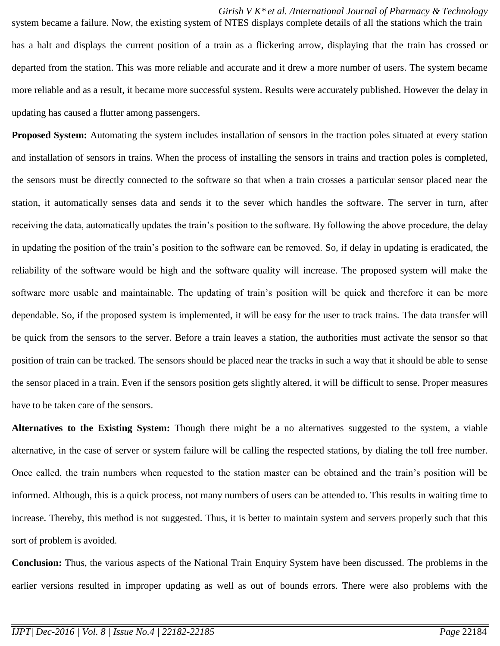*Girish V K\* et al. /International Journal of Pharmacy & Technology* system became a failure. Now, the existing system of NTES displays complete details of all the stations which the train has a halt and displays the current position of a train as a flickering arrow, displaying that the train has crossed or departed from the station. This was more reliable and accurate and it drew a more number of users. The system became more reliable and as a result, it became more successful system. Results were accurately published. However the delay in updating has caused a flutter among passengers.

**Proposed System:** Automating the system includes installation of sensors in the traction poles situated at every station and installation of sensors in trains. When the process of installing the sensors in trains and traction poles is completed, the sensors must be directly connected to the software so that when a train crosses a particular sensor placed near the station, it automatically senses data and sends it to the sever which handles the software. The server in turn, after receiving the data, automatically updates the train's position to the software. By following the above procedure, the delay in updating the position of the train's position to the software can be removed. So, if delay in updating is eradicated, the reliability of the software would be high and the software quality will increase. The proposed system will make the software more usable and maintainable. The updating of train's position will be quick and therefore it can be more dependable. So, if the proposed system is implemented, it will be easy for the user to track trains. The data transfer will be quick from the sensors to the server. Before a train leaves a station, the authorities must activate the sensor so that position of train can be tracked. The sensors should be placed near the tracks in such a way that it should be able to sense the sensor placed in a train. Even if the sensors position gets slightly altered, it will be difficult to sense. Proper measures have to be taken care of the sensors.

**Alternatives to the Existing System:** Though there might be a no alternatives suggested to the system, a viable alternative, in the case of server or system failure will be calling the respected stations, by dialing the toll free number. Once called, the train numbers when requested to the station master can be obtained and the train's position will be informed. Although, this is a quick process, not many numbers of users can be attended to. This results in waiting time to increase. Thereby, this method is not suggested. Thus, it is better to maintain system and servers properly such that this sort of problem is avoided.

**Conclusion:** Thus, the various aspects of the National Train Enquiry System have been discussed. The problems in the earlier versions resulted in improper updating as well as out of bounds errors. There were also problems with the